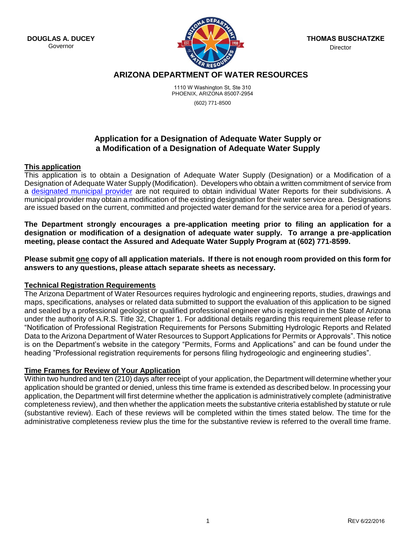**DOUGLAS A. DUCEY** Governor



**THOMAS BUSCHATZKE** Director

# **ARIZONA DEPARTMENT OF WATER RESOURCES**

1110 W Washington St, Ste 310 PHOENIX, ARIZONA 85007-2954 (602) 771-8500

## **Application for a Designation of Adequate Water Supply or a Modification of a Designation of Adequate Water Supply**

### **This application**

This application is to obtain a Designation of Adequate Water Supply (Designation) or a Modification of a Designation of Adequate Water Supply (Modification). Developers who obtain a written commitment of service from a [designated municipal provider](http://www.azwater.gov/AzDWR/WaterManagement/AAWS/documents/documents/List_of_Designated_Providers_5-28-2013.pdf) are not required to obtain individual Water Reports for their subdivisions. A municipal provider may obtain a modification of the existing designation for their water service area. Designations are issued based on the current, committed and projected water demand for the service area for a period of years.

**The Department strongly encourages a pre-application meeting prior to filing an application for a designation or modification of a designation of adequate water supply. To arrange a pre-application meeting, please contact the Assured and Adequate Water Supply Program at (602) 771-8599.**

**Please submit one copy of all application materials. If there is not enough room provided on this form for answers to any questions, please attach separate sheets as necessary.** 

### **Technical Registration Requirements**

The Arizona Department of Water Resources requires hydrologic and engineering reports, studies, drawings and maps, specifications, analyses or related data submitted to support the evaluation of this application to be signed and sealed by a professional geologist or qualified professional engineer who is registered in the State of Arizona under the authority of A.R.S. Title 32, Chapter 1. For additional details regarding this requirement please refer to "Notification of Professional Registration Requirements for Persons Submitting Hydrologic Reports and Related Data to the Arizona Department of Water Resources to Support Applications for Permits or Approvals". This notice is on the Department's website in the category "Permits, Forms and Applications" and can be found under the heading "Professional registration requirements for persons filing hydrogeologic and engineering studies".

## **Time Frames for Review of Your Application**

Within two hundred and ten (210) days after receipt of your application, the Department will determine whether your application should be granted or denied, unless this time frame is extended as described below. In processing your application, the Department will first determine whether the application is administratively complete (administrative completeness review), and then whether the application meets the substantive criteria established by statute or rule (substantive review). Each of these reviews will be completed within the times stated below. The time for the administrative completeness review plus the time for the substantive review is referred to the overall time frame.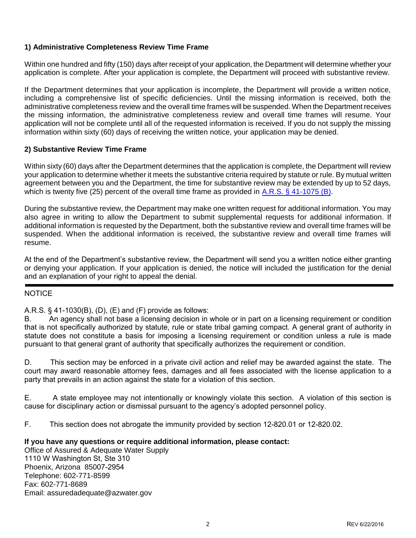## **1) Administrative Completeness Review Time Frame**

Within one hundred and fifty (150) days after receipt of your application, the Department will determine whether your application is complete. After your application is complete, the Department will proceed with substantive review.

If the Department determines that your application is incomplete, the Department will provide a written notice, including a comprehensive list of specific deficiencies. Until the missing information is received, both the administrative completeness review and the overall time frames will be suspended. When the Department receives the missing information, the administrative completeness review and overall time frames will resume. Your application will not be complete until all of the requested information is received. If you do not supply the missing information within sixty (60) days of receiving the written notice, your application may be denied.

## **2) Substantive Review Time Frame**

Within sixty (60) days after the Department determines that the application is complete, the Department will review your application to determine whether it meets the substantive criteria required by statute or rule. By mutual written agreement between you and the Department, the time for substantive review may be extended by up to 52 days, which is twenty five (25) percent of the overall time frame as provided i[n A.R.S. § 41-1075 \(B\).](http://www.azleg.gov/ArizonaRevisedStatutes.asp?Title=41)

During the substantive review, the Department may make one written request for additional information. You may also agree in writing to allow the Department to submit supplemental requests for additional information. If additional information is requested by the Department, both the substantive review and overall time frames will be suspended. When the additional information is received, the substantive review and overall time frames will resume.

At the end of the Department's substantive review, the Department will send you a written notice either granting or denying your application. If your application is denied, the notice will included the justification for the denial and an explanation of your right to appeal the denial.

## NOTICE

## A.R.S. § 41-1030(B), (D), (E) and (F) provide as follows:

B. An agency shall not base a licensing decision in whole or in part on a licensing requirement or condition that is not specifically authorized by statute, rule or state tribal gaming compact. A general grant of authority in statute does not constitute a basis for imposing a licensing requirement or condition unless a rule is made pursuant to that general grant of authority that specifically authorizes the requirement or condition.

D. This section may be enforced in a private civil action and relief may be awarded against the state. The court may award reasonable attorney fees, damages and all fees associated with the license application to a party that prevails in an action against the state for a violation of this section.

E. A state employee may not intentionally or knowingly violate this section. A violation of this section is cause for disciplinary action or dismissal pursuant to the agency's adopted personnel policy.

F. This section does not abrogate the immunity provided by section 12-820.01 or 12-820.02.

### **If you have any questions or require additional information, please contact:**

Office of Assured & Adequate Water Supply 1110 W Washington St, Ste 310 Phoenix, Arizona 85007-2954 Telephone: 602-771-8599 Fax: 602-771-8689 Email: assuredadequate@azwater.gov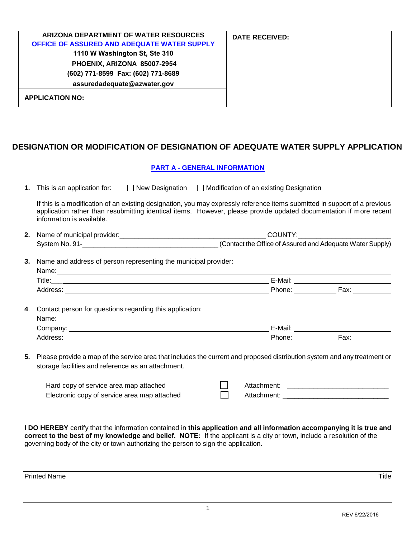| ARIZONA DEPARTMENT OF WATER RESOURCES<br>OFFICE OF ASSURED AND ADEQUATE WATER SUPPLY<br>1110 W Washington St, Ste 310<br>PHOENIX, ARIZONA 85007-2954<br>(602) 771-8599 Fax: (602) 771-8689<br>assuredadequate@azwater.gov | <b>DATE RECEIVED:</b> |
|---------------------------------------------------------------------------------------------------------------------------------------------------------------------------------------------------------------------------|-----------------------|
| <b>APPLICATION NO:</b>                                                                                                                                                                                                    |                       |

# **DESIGNATION OR MODIFICATION OF DESIGNATION OF ADEQUATE WATER SUPPLY APPLICATION**

|    |                                                                                                                                                                                                                                                                                                  | <b>PART A - GENERAL INFORMATION</b> |  |
|----|--------------------------------------------------------------------------------------------------------------------------------------------------------------------------------------------------------------------------------------------------------------------------------------------------|-------------------------------------|--|
|    | <b>1.</b> This is an application for: $\Box$ New Designation $\Box$ Modification of an existing Designation                                                                                                                                                                                      |                                     |  |
|    | If this is a modification of an existing designation, you may expressly reference items submitted in support of a previous<br>application rather than resubmitting identical items. However, please provide updated documentation if more recent<br>information is available.                    |                                     |  |
|    |                                                                                                                                                                                                                                                                                                  |                                     |  |
|    | System No. 91-<br>Contact the Office of Assured and Adequate Water Supply)                                                                                                                                                                                                                       |                                     |  |
| 3. | Name and address of person representing the municipal provider:<br>Name: Name: Name: Name: Name: Name: Name: Name: Name: Name: Name: Name: Name: Name: Name: Name: Name: Name: Name: Name: Name: Name: Name: Name: Name: Name: Name: Name: Name: Name: Name: Name: Name: Name: Name: Name: Name: |                                     |  |
|    | 4. Contact person for questions regarding this application:                                                                                                                                                                                                                                      |                                     |  |
|    |                                                                                                                                                                                                                                                                                                  |                                     |  |
|    | 5. Please provide a map of the service area that includes the current and proposed distribution system and any treatment or<br>storage facilities and reference as an attachment.                                                                                                                |                                     |  |

| Hard copy of service area map attached       | Attachment: |
|----------------------------------------------|-------------|
| Electronic copy of service area map attached | Attachment: |

**I DO HEREBY** certify that the information contained in **this application and all information accompanying it is true and correct to the best of my knowledge and belief. NOTE:** If the applicant is a city or town, include a resolution of the governing body of the city or town authorizing the person to sign the application.

1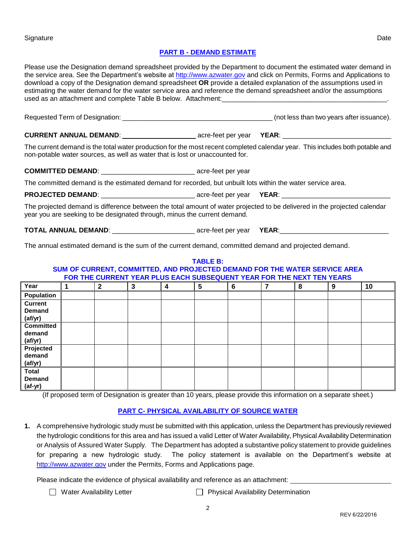### **PART B - DEMAND ESTIMATE**

Please use the Designation demand spreadsheet provided by the Department to document the estimated water demand in the service area. See the Department's website at [http://www.azwater.gov](http://www.azwater.gov/) and click on Permits, Forms and Applications to download a copy of the Designation demand spreadsheet **OR** provide a detailed explanation of the assumptions used in estimating the water demand for the water service area and reference the demand spreadsheet and/or the assumptions used as an attachment and complete Table B below. Attachment:

Requested Term of Designation: \_\_\_\_\_\_\_\_\_\_\_\_\_\_\_\_\_\_\_\_\_\_\_\_\_\_\_\_\_\_\_\_\_\_\_\_\_\_\_\_ (not less than two years after issuance).

**CURRENT ANNUAL DEMAND:**  $\qquad \qquad \text{acre-feet per year}$  **YEAR:** 

The current demand is the total water production for the most recent completed calendar year. This includes both potable and non-potable water sources, as well as water that is lost or unaccounted for.

**COMMITTED DEMAND: COMMITTED DEMAND: COMMITTED** 

The committed demand is the estimated demand for recorded, but unbuilt lots within the water service area.

**PROJECTED DEMAND**: \_\_\_\_\_\_\_\_\_\_\_\_\_\_\_\_\_\_\_\_\_\_\_\_\_ acre-feet per year **YEAR**: \_\_\_\_\_\_\_\_\_\_\_\_\_\_\_\_\_\_\_\_\_\_\_\_\_\_\_\_\_

The projected demand is difference between the total amount of water projected to be delivered in the projected calendar year you are seeking to be designated through, minus the current demand.

**TOTAL ANNUAL DEMAND**: \_\_\_\_\_\_\_\_\_\_\_\_\_\_\_\_\_\_\_\_\_\_ acre-feet per year **YEAR**:\_\_\_\_\_\_\_\_\_\_\_\_\_\_\_\_\_\_\_\_\_\_\_\_\_\_\_\_\_

The annual estimated demand is the sum of the current demand, committed demand and projected demand.

#### **TABLE B: SUM OF CURRENT, COMMITTED, AND PROJECTED DEMAND FOR THE WATER SERVICE AREA FOR THE CURRENT YEAR PLUS EACH SUBSEQUENT YEAR FOR THE NEXT TEN YEARS Year 1 2 3 4 5 6 7 8 9 10 Population Current Demand (af/yr) Committed demand (af/yr) Projected demand (af/yr) Total Demand (af-yr)**

(If proposed term of Designation is greater than 10 years, please provide this information on a separate sheet.)

## **PART C- PHYSICAL AVAILABILITY OF SOURCE WATER**

**1.** A comprehensive hydrologic study must be submitted with this application, unless the Department has previously reviewed the hydrologic conditions for this area and has issued a valid Letter of Water Availability, Physical Availability Determination or Analysis of Assured Water Supply. The Department has adopted a substantive policy statement to provide guidelines for preparing a new hydrologic study. The policy statement is available on the Department's website at [http://www.azwater.gov](http://www.azwater.gov/) under the Permits, Forms and Applications page.

Please indicate the evidence of physical availability and reference as an attachment:

- □ Water Availability Letter <br>
 Physical Availability Determination
-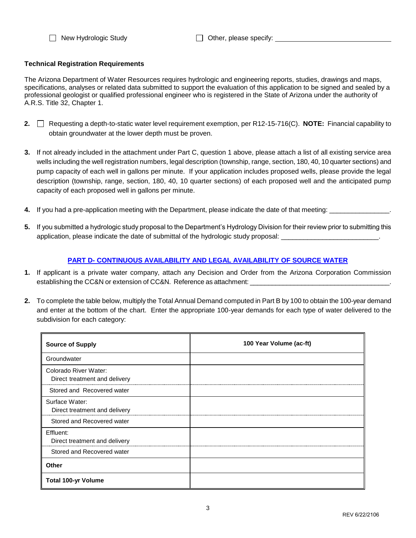□ New Hydrologic Study <br>□ Other, please specify: <u>\_\_\_\_\_\_\_\_\_\_\_\_\_\_\_\_\_\_\_\_\_\_\_\_\_</u>

### **Technical Registration Requirements**

The Arizona Department of Water Resources requires hydrologic and engineering reports, studies, drawings and maps, specifications, analyses or related data submitted to support the evaluation of this application to be signed and sealed by a professional geologist or qualified professional engineer who is registered in the State of Arizona under the authority of A.R.S. Title 32, Chapter 1.

- **2.** Requesting a depth-to-static water level requirement exemption, per R12-15-716(C). **NOTE:** Financial capability to obtain groundwater at the lower depth must be proven.
- **3.** If not already included in the attachment under Part C, question 1 above, please attach a list of all existing service area wells including the well registration numbers, legal description (township, range, section, 180, 40, 10 quarter sections) and pump capacity of each well in gallons per minute. If your application includes proposed wells, please provide the legal description (township, range, section, 180, 40, 10 quarter sections) of each proposed well and the anticipated pump capacity of each proposed well in gallons per minute.
- **4.** If you had a pre-application meeting with the Department, please indicate the date of that meeting:
- **5.** If you submitted a hydrologic study proposal to the Department's Hydrology Division for their review prior to submitting this application, please indicate the date of submittal of the hydrologic study proposal:

## **PART D- CONTINUOUS AVAILABILITY AND LEGAL AVAILABILITY OF SOURCE WATER**

- **1.** If applicant is a private water company, attach any Decision and Order from the Arizona Corporation Commission establishing the CC&N or extension of CC&N. Reference as attachment:
- **2.** To complete the table below, multiply the Total Annual Demand computed in Part B by 100 to obtain the 100-year demand and enter at the bottom of the chart. Enter the appropriate 100-year demands for each type of water delivered to the subdivision for each category:

| <b>Source of Supply</b>                                | 100 Year Volume (ac-ft) |
|--------------------------------------------------------|-------------------------|
| Groundwater                                            |                         |
| Colorado River Water:<br>Direct treatment and delivery |                         |
| Stored and Recovered water                             |                         |
| Surface Water:<br>Direct treatment and delivery        |                         |
| Stored and Recovered water                             |                         |
| Effluent:<br>Direct treatment and delivery             |                         |
| Stored and Recovered water                             |                         |
| Other                                                  |                         |
| <b>Total 100-yr Volume</b>                             |                         |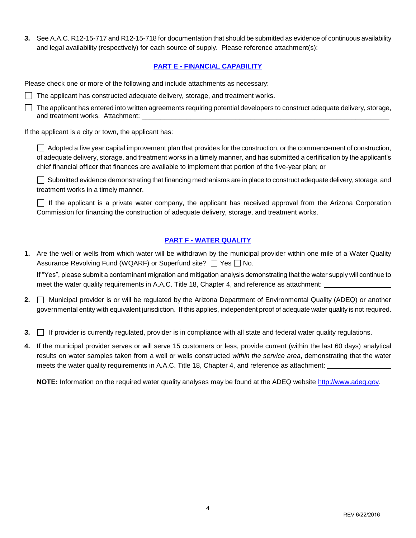**3.** See A.A.C. R12-15-717 and R12-15-718 for documentation that should be submitted as evidence of continuous availability and legal availability (respectively) for each source of supply. Please reference attachment(s):

### **PART E - FINANCIAL CAPABILITY**

Please check one or more of the following and include attachments as necessary:

 $\Box$  The applicant has constructed adequate delivery, storage, and treatment works.

 $\Box$  The applicant has entered into written agreements requiring potential developers to construct adequate delivery, storage, and treatment works. Attachment:

If the applicant is a city or town, the applicant has:

Adopted a five year capital improvement plan that provides for the construction, or the commencement of construction, of adequate delivery, storage, and treatment works in a timely manner, and has submitted a certification by the applicant's chief financial officer that finances are available to implement that portion of the five-year plan; or

Submitted evidence demonstrating that financing mechanisms are in place to construct adequate delivery, storage, and treatment works in a timely manner.

If the applicant is a private water company, the applicant has received approval from the Arizona Corporation Commission for financing the construction of adequate delivery, storage, and treatment works.

### **PART F - WATER QUALITY**

**1.** Are the well or wells from which water will be withdrawn by the municipal provider within one mile of a Water Quality Assurance Revolving Fund (WQARF) or Superfund site?  $\Box$  Yes  $\Box$  No.

If "Yes", please submit a contaminant migration and mitigation analysis demonstrating that the water supply will continue to meet the water quality requirements in A.A.C. Title 18, Chapter 4, and reference as attachment:

- **2.** Municipal provider is or will be regulated by the Arizona Department of Environmental Quality (ADEQ) or another governmental entity with equivalent jurisdiction. If this applies, independent proof of adequate water quality is not required.
- **3. If provider is currently regulated, provider is in compliance with all state and federal water quality regulations.**
- **4.** If the municipal provider serves or will serve 15 customers or less, provide current (within the last 60 days) analytical results on water samples taken from a well or wells constructed *within the service area*, demonstrating that the water meets the water quality requirements in A.A.C. Title 18, Chapter 4, and reference as attachment:

**NOTE:** Information on the required water quality analyses may be found at the ADEQ website [http://www.adeq.gov.](http://www.adeq.state.az.us/environ/water/dw/index.html)